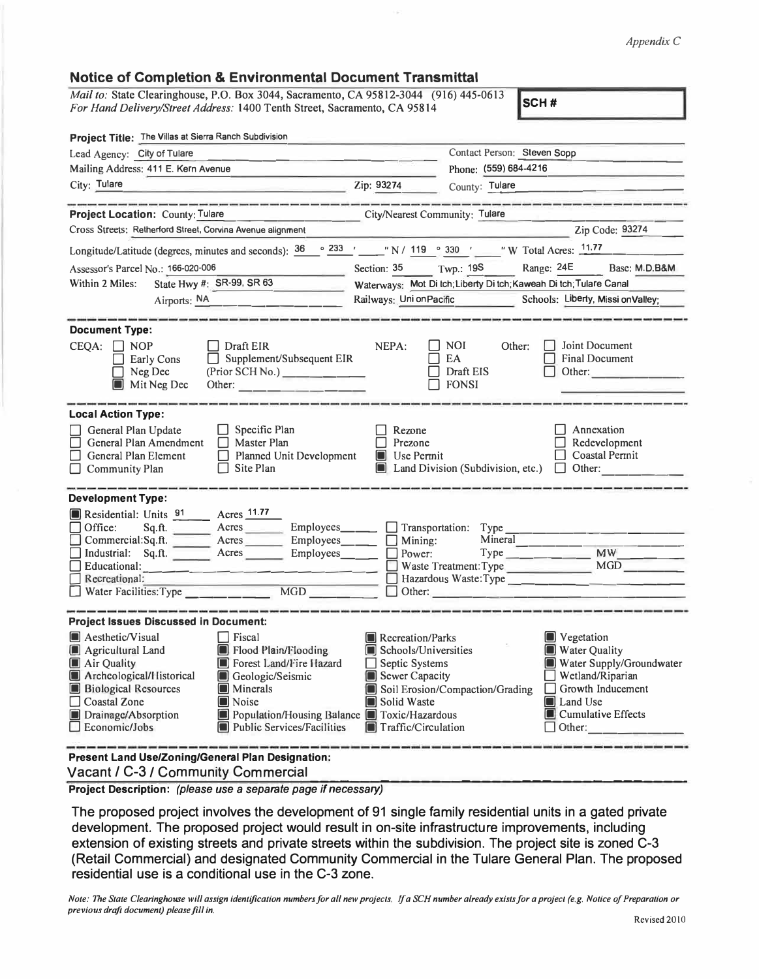## *Appendix C*

## **Notice of Completion & Environmental Document Transmittal**

*Mail to:* State Clearinghouse, P.O. Box 3044, Sacramento, CA 95812-3044 (916) 445-0613 *For Hand Delivery/Street Address:* 1400 Tenth Street, Sacramento, CA 95814 **SCH # SCH # SCH #** 

| Project Title: The Villas at Sierra Ranch Subdivision                                                                                                                                                                                                                                                                                                                                                                                                                                                                                                                                                              |                                                                                                                                  |                                                                    |                                                                                                                                                                |  |
|--------------------------------------------------------------------------------------------------------------------------------------------------------------------------------------------------------------------------------------------------------------------------------------------------------------------------------------------------------------------------------------------------------------------------------------------------------------------------------------------------------------------------------------------------------------------------------------------------------------------|----------------------------------------------------------------------------------------------------------------------------------|--------------------------------------------------------------------|----------------------------------------------------------------------------------------------------------------------------------------------------------------|--|
| Lead Agency: City of Tulare                                                                                                                                                                                                                                                                                                                                                                                                                                                                                                                                                                                        | Contact Person: Steven Sopp                                                                                                      |                                                                    |                                                                                                                                                                |  |
| Mailing Address: 411 E. Kern Avenue                                                                                                                                                                                                                                                                                                                                                                                                                                                                                                                                                                                |                                                                                                                                  | Phone: (559) 684-4216                                              |                                                                                                                                                                |  |
| City: Tulare<br>$\overline{2ip}$ : 93274                                                                                                                                                                                                                                                                                                                                                                                                                                                                                                                                                                           |                                                                                                                                  | County: Tulare                                                     |                                                                                                                                                                |  |
| <b>Project Location: County: Tulare</b><br>City/Nearest Community: Tulare                                                                                                                                                                                                                                                                                                                                                                                                                                                                                                                                          |                                                                                                                                  |                                                                    |                                                                                                                                                                |  |
| Cross Streets: Retherford Street, Corvina Avenue alignment                                                                                                                                                                                                                                                                                                                                                                                                                                                                                                                                                         |                                                                                                                                  |                                                                    | Zip Code: 93274                                                                                                                                                |  |
| Longitude/Latitude (degrees, minutes and seconds): $\frac{36}{233}$ $\frac{233}{21}$ "N/ 119 ° 330 ' "W Total Acres: 11.77                                                                                                                                                                                                                                                                                                                                                                                                                                                                                         |                                                                                                                                  |                                                                    |                                                                                                                                                                |  |
| Assessor's Parcel No.: 166-020-006                                                                                                                                                                                                                                                                                                                                                                                                                                                                                                                                                                                 | Section: 35 Twp.: 19S                                                                                                            |                                                                    | Range: 24E Base: M.D.B&M                                                                                                                                       |  |
| State Hwy #: SR-99, SR 63<br>Within 2 Miles:                                                                                                                                                                                                                                                                                                                                                                                                                                                                                                                                                                       |                                                                                                                                  | Waterways: Mot Di tch; Liberty Di tch; Kaweah Di tch; Tulare Canal |                                                                                                                                                                |  |
| Airports: NA                                                                                                                                                                                                                                                                                                                                                                                                                                                                                                                                                                                                       |                                                                                                                                  |                                                                    | Railways: Uni on Pacific Schools: Liberty, Missi on Valley;                                                                                                    |  |
| <b>Document Type:</b><br>$CEQA: \Box NP$<br>  Draft EIR<br>$\Box$ Supplement/Subsequent EIR<br>Early Cons                                                                                                                                                                                                                                                                                                                                                                                                                                                                                                          | NEPA:                                                                                                                            | $\Box$ NOI<br>Other:<br>EA                                         | <b>Joint Document</b><br><b>Final Document</b>                                                                                                                 |  |
| Neg Dec<br>(Prior SCH No.)<br>Mit Neg Dec                                                                                                                                                                                                                                                                                                                                                                                                                                                                                                                                                                          |                                                                                                                                  | $\Box$ Draft EIS<br>$\Box$ FONSI                                   | $\Box$ Other:                                                                                                                                                  |  |
| <b>Local Action Type:</b><br>$\Box$ Specific Plan<br>General Plan Update<br>General Plan Amendment<br>$\Box$ Master Plan<br>General Plan Element<br>Planned Unit Development<br>$\Box$ Community Plan<br>$\Box$ Site Plan                                                                                                                                                                                                                                                                                                                                                                                          | $\Box$ Rezone<br>Prezone<br>$\blacksquare$ Use Permit                                                                            |                                                                    | Annexation<br>Redevelopment<br>$\Box$ Coastal Permit<br>$\Box$ Land Division (Subdivision, etc.) $\Box$ Other:                                                 |  |
| <b>Development Type:</b><br>Residential: Units 91 Acres 11.77<br>$\Box$ Office:<br>Sq.ft. _______ Acres ________ Employees_______ _ Transportation: Type<br>□ Commercial:Sq.ft. ______ Acres ______ Employees _____ □ Mining:<br>Industrial: Sq.ft. _______ Acres ________ Employees_______<br>Educational:<br><u> Alexandria de la contextual de la contextual de la contextual de la contextual de la contextual de la contextual de la contextual de la contextual de la contextual de la contextual de la contextual de la contextual de la</u><br>Recreational:<br>Water Facilities: Type<br>$\overline{MGD}$ | $\Box$ Power:                                                                                                                    | Mineral<br>Other:                                                  | MW<br>Waste Treatment: Type MGD<br>Hazardous Waste: Type                                                                                                       |  |
| <b>Project Issues Discussed in Document:</b>                                                                                                                                                                                                                                                                                                                                                                                                                                                                                                                                                                       |                                                                                                                                  |                                                                    |                                                                                                                                                                |  |
| <b>A</b> esthetic/Visual<br>$\Box$ Fiscal<br>Flood Plain/Flooding<br>Agricultural Land<br>Forest Land/Fire Hazard<br>Air Quality<br>Archeological/Historical<br>Geologic/Seismic<br><b>Biological Resources</b><br><b>Minerals</b><br>$\Box$ Coastal Zone<br><b>Noise</b><br>Population/Housing Balance Toxic/Hazardous<br>Drainage/Absorption<br>$\Box$ Economic/Jobs<br>Public Services/Facilities                                                                                                                                                                                                               | Recreation/Parks<br>Schools/Universities<br>$\Box$ Septic Systems<br>Sewer Capacity<br>Solid Waste<br><b>Traffic/Circulation</b> | Soil Erosion/Compaction/Grading                                    | Vegetation<br>Water Quality<br>Water Supply/Groundwater<br>    Wetland/Riparian<br>$\Box$ Growth Inducement<br>Land Use<br>Cumulative Effects<br>$\Box$ Other: |  |
| Present Land Use/Zoning/General Plan Designation:                                                                                                                                                                                                                                                                                                                                                                                                                                                                                                                                                                  |                                                                                                                                  |                                                                    |                                                                                                                                                                |  |

Vacant / C-3 / Community Commercial-

**Project Description:** *(please use a separate page if necessary)* 

The proposed project involves the development of 91 single family residential units in a gated private development. The proposed project would result in on-site infrastructure improvements, including extension of existing streets and private streets within the subdivision. The project site is zoned C-3 (Retail Commercial) and designated Community Commercial in the Tulare General Plan. The proposed residential use is a conditional use in the C-3 zone.

*Note: The State Clearinghouse will assign identification numbers for all new projects. ff a SCH number already exists for a project (e.g. Notice of Preparation or previous drqft document) please fill in.*